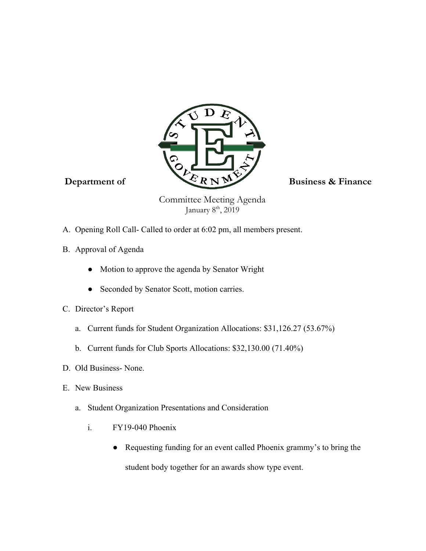

Committee Meeting Agenda January 8<sup>th</sup>, 2019

- A. Opening Roll Call- Called to order at 6:02 pm, all members present.
- B. Approval of Agenda
	- Motion to approve the agenda by Senator Wright
	- Seconded by Senator Scott, motion carries.
- C. Director's Report
	- a. Current funds for Student Organization Allocations: \$31,126.27 (53.67%)
	- b. Current funds for Club Sports Allocations: \$32,130.00 (71.40%)
- D. Old Business- None.
- E. New Business
	- a. Student Organization Presentations and Consideration
		- i. FY19-040 Phoenix
			- Requesting funding for an event called Phoenix grammy's to bring the student body together for an awards show type event.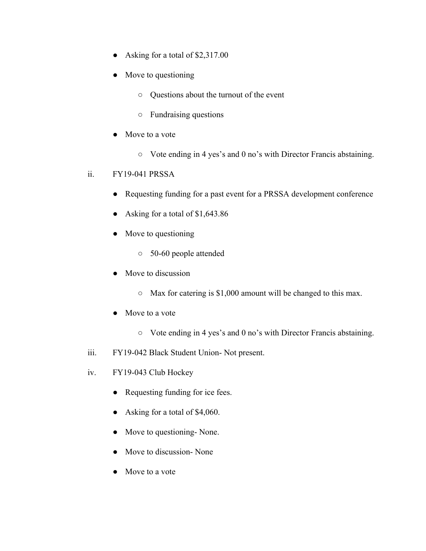- Asking for a total of \$2,317.00
- Move to questioning
	- Questions about the turnout of the event
	- Fundraising questions
- Move to a vote
	- Vote ending in 4 yes's and 0 no's with Director Francis abstaining.
- ii. FY19-041 PRSSA
	- Requesting funding for a past event for a PRSSA development conference
	- Asking for a total of \$1,643.86
	- Move to questioning
		- 50-60 people attended
	- Move to discussion
		- Max for catering is \$1,000 amount will be changed to this max.
	- Move to a vote
		- Vote ending in 4 yes's and 0 no's with Director Francis abstaining.
- iii. FY19-042 Black Student Union- Not present.
- iv. FY19-043 Club Hockey
	- Requesting funding for ice fees.
	- Asking for a total of \$4,060.
	- Move to questioning- None.
	- Move to discussion- None
	- Move to a vote